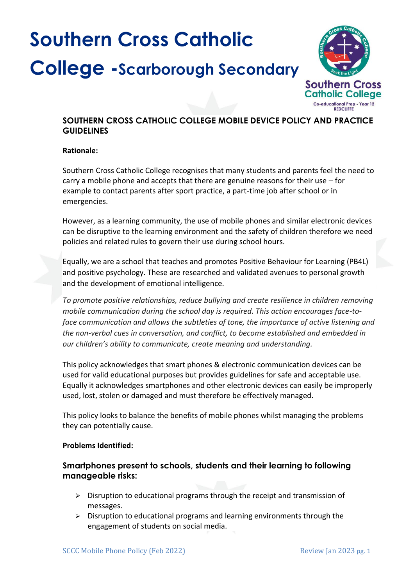# **Southern Cross Catholic**

# **College -Scarborough Secondary**



# **SOUTHERN CROSS CATHOLIC COLLEGE MOBILE DEVICE POLICY AND PRACTICE GUIDELINES**

#### **Rationale:**

Southern Cross Catholic College recognises that many students and parents feel the need to carry a mobile phone and accepts that there are genuine reasons for their use – for example to contact parents after sport practice, a part-time job after school or in emergencies.

However, as a learning community, the use of mobile phones and similar electronic devices can be disruptive to the learning environment and the safety of children therefore we need policies and related rules to govern their use during school hours.

Equally, we are a school that teaches and promotes Positive Behaviour for Learning (PB4L) and positive psychology. These are researched and validated avenues to personal growth and the development of emotional intelligence.

*To promote positive relationships, reduce bullying and create resilience in children removing mobile communication during the school day is required. This action encourages face-toface communication and allows the subtleties of tone, the importance of active listening and the non-verbal cues in conversation, and conflict, to become established and embedded in our children's ability to communicate, create meaning and understanding.*

This policy acknowledges that smart phones & electronic communication devices can be used for valid educational purposes but provides guidelines for safe and acceptable use. Equally it acknowledges smartphones and other electronic devices can easily be improperly used, lost, stolen or damaged and must therefore be effectively managed.

This policy looks to balance the benefits of mobile phones whilst managing the problems they can potentially cause.

#### **Problems Identified:**

# **Smartphones present to schools, students and their learning to following manageable risks:**

- $\triangleright$  Disruption to educational programs through the receipt and transmission of messages.
- ➢ Disruption to educational programs and learning environments through the engagement of students on social media.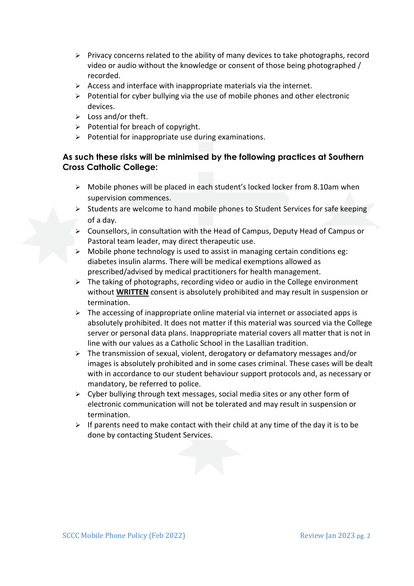- ➢ Privacy concerns related to the ability of many devices to take photographs, record video or audio without the knowledge or consent of those being photographed / recorded.
- $\triangleright$  Access and interface with inappropriate materials via the internet.
- $\triangleright$  Potential for cyber bullying via the use of mobile phones and other electronic devices.
- $\triangleright$  Loss and/or theft.
- $\triangleright$  Potential for breach of copyright.
- $\triangleright$  Potential for inappropriate use during examinations.

# **As such these risks will be minimised by the following practices at Southern Cross Catholic College:**

- ➢ Mobile phones will be placed in each student's locked locker from 8.10am when supervision commences.
- ➢ Students are welcome to hand mobile phones to Student Services for safe keeping of a day.
- ➢ Counsellors, in consultation with the Head of Campus, Deputy Head of Campus or Pastoral team leader, may direct therapeutic use.
- $\triangleright$  Mobile phone technology is used to assist in managing certain conditions eg: diabetes insulin alarms. There will be medical exemptions allowed as prescribed/advised by medical practitioners for health management.
- $\triangleright$  The taking of photographs, recording video or audio in the College environment without **WRITTEN** consent is absolutely prohibited and may result in suspension or termination.
- $\triangleright$  The accessing of inappropriate online material via internet or associated apps is absolutely prohibited. It does not matter if this material was sourced via the College server or personal data plans. Inappropriate material covers all matter that is not in line with our values as a Catholic School in the Lasallian tradition.
- ➢ The transmission of sexual, violent, derogatory or defamatory messages and/or images is absolutely prohibited and in some cases criminal. These cases will be dealt with in accordance to our student behaviour support protocols and, as necessary or mandatory, be referred to police.
- ➢ Cyber bullying through text messages, social media sites or any other form of electronic communication will not be tolerated and may result in suspension or termination.
- $\triangleright$  If parents need to make contact with their child at any time of the day it is to be done by contacting Student Services.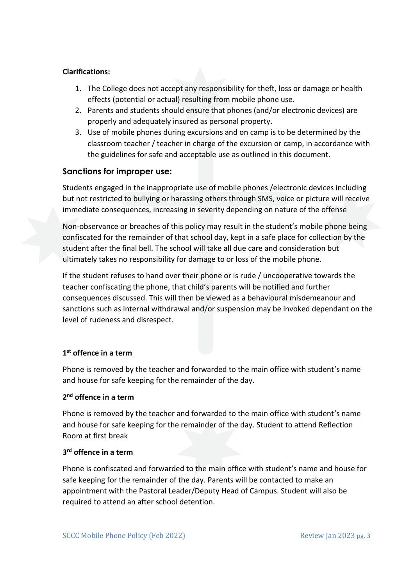#### **Clarifications:**

- 1. The College does not accept any responsibility for theft, loss or damage or health effects (potential or actual) resulting from mobile phone use.
- 2. Parents and students should ensure that phones (and/or electronic devices) are properly and adequately insured as personal property.
- 3. Use of mobile phones during excursions and on camp is to be determined by the classroom teacher / teacher in charge of the excursion or camp, in accordance with the guidelines for safe and acceptable use as outlined in this document.

## **Sanctions for improper use:**

Students engaged in the inappropriate use of mobile phones /electronic devices including but not restricted to bullying or harassing others through SMS, voice or picture will receive immediate consequences, increasing in severity depending on nature of the offense

Non-observance or breaches of this policy may result in the student's mobile phone being confiscated for the remainder of that school day, kept in a safe place for collection by the student after the final bell. The school will take all due care and consideration but ultimately takes no responsibility for damage to or loss of the mobile phone.

If the student refuses to hand over their phone or is rude / uncooperative towards the teacher confiscating the phone, that child's parents will be notified and further consequences discussed. This will then be viewed as a behavioural misdemeanour and sanctions such as internal withdrawal and/or suspension may be invoked dependant on the level of rudeness and disrespect.

## **1 st offence in a term**

Phone is removed by the teacher and forwarded to the main office with student's name and house for safe keeping for the remainder of the day.

#### **2 nd offence in a term**

Phone is removed by the teacher and forwarded to the main office with student's name and house for safe keeping for the remainder of the day. Student to attend Reflection Room at first break

#### **3 rd offence in a term**

Phone is confiscated and forwarded to the main office with student's name and house for safe keeping for the remainder of the day. Parents will be contacted to make an appointment with the Pastoral Leader/Deputy Head of Campus. Student will also be required to attend an after school detention.